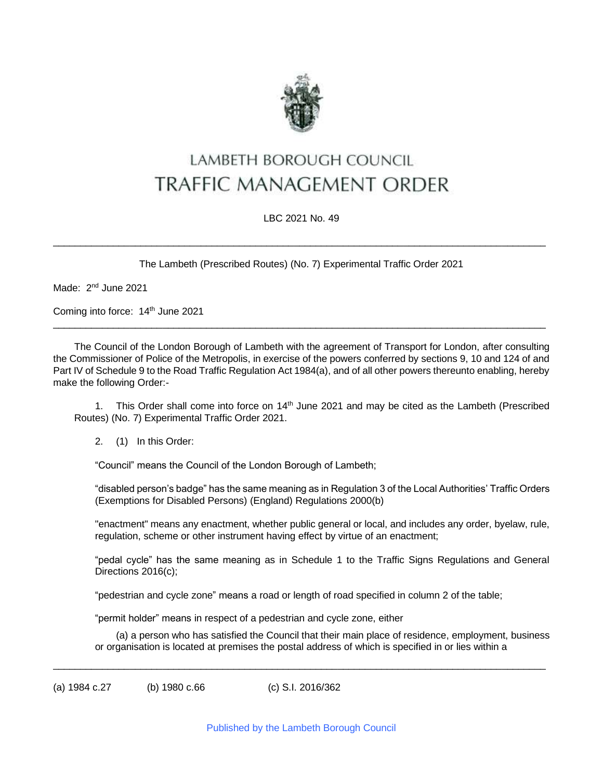

# LAMBETH BOROUGH COUNCIL **TRAFFIC MANAGEMENT ORDER**

#### LBC 2021 No. 49

The Lambeth (Prescribed Routes) (No. 7) Experimental Traffic Order 2021

 $\_$  ,  $\_$  ,  $\_$  ,  $\_$  ,  $\_$  ,  $\_$  ,  $\_$  ,  $\_$  ,  $\_$  ,  $\_$  ,  $\_$  ,  $\_$  ,  $\_$  ,  $\_$  ,  $\_$  ,  $\_$  ,  $\_$  ,  $\_$  ,  $\_$  ,  $\_$  ,  $\_$  ,  $\_$  ,  $\_$  ,  $\_$  ,  $\_$  ,  $\_$  ,  $\_$  ,  $\_$  ,  $\_$  ,  $\_$  ,  $\_$  ,  $\_$  ,  $\_$  ,  $\_$  ,  $\_$  ,  $\_$  ,  $\_$  ,

Made: 2<sup>nd</sup> June 2021

Coming into force: 14th June 2021

The Council of the London Borough of Lambeth with the agreement of Transport for London, after consulting the Commissioner of Police of the Metropolis, in exercise of the powers conferred by sections 9, 10 and 124 of and Part IV of Schedule 9 to the Road Traffic Regulation Act 1984(a), and of all other powers thereunto enabling, hereby make the following Order:-

 $\_$  ,  $\_$  ,  $\_$  ,  $\_$  ,  $\_$  ,  $\_$  ,  $\_$  ,  $\_$  ,  $\_$  ,  $\_$  ,  $\_$  ,  $\_$  ,  $\_$  ,  $\_$  ,  $\_$  ,  $\_$  ,  $\_$  ,  $\_$  ,  $\_$  ,  $\_$  ,  $\_$  ,  $\_$  ,  $\_$  ,  $\_$  ,  $\_$  ,  $\_$  ,  $\_$  ,  $\_$  ,  $\_$  ,  $\_$  ,  $\_$  ,  $\_$  ,  $\_$  ,  $\_$  ,  $\_$  ,  $\_$  ,  $\_$  ,

1. This Order shall come into force on 14<sup>th</sup> June 2021 and may be cited as the Lambeth (Prescribed Routes) (No. 7) Experimental Traffic Order 2021.

2. (1) In this Order:

"Council" means the Council of the London Borough of Lambeth;

"disabled person's badge" has the same meaning as in Regulation 3 of the Local Authorities' Traffic Orders (Exemptions for Disabled Persons) (England) Regulations 2000(b)

"enactment" means any enactment, whether public general or local, and includes any order, byelaw, rule, regulation, scheme or other instrument having effect by virtue of an enactment;

"pedal cycle" has the same meaning as in Schedule 1 to the Traffic Signs Regulations and General Directions 2016(c);

"pedestrian and cycle zone" means a road or length of road specified in column 2 of the table;

"permit holder" means in respect of a pedestrian and cycle zone, either

(a) a person who has satisfied the Council that their main place of residence, employment, business or organisation is located at premises the postal address of which is specified in or lies within a

(a) 1984 c.27 (b) 1980 c.66 (c) S.I. 2016/362

 $\_$  ,  $\_$  ,  $\_$  ,  $\_$  ,  $\_$  ,  $\_$  ,  $\_$  ,  $\_$  ,  $\_$  ,  $\_$  ,  $\_$  ,  $\_$  ,  $\_$  ,  $\_$  ,  $\_$  ,  $\_$  ,  $\_$  ,  $\_$  ,  $\_$  ,  $\_$  ,  $\_$  ,  $\_$  ,  $\_$  ,  $\_$  ,  $\_$  ,  $\_$  ,  $\_$  ,  $\_$  ,  $\_$  ,  $\_$  ,  $\_$  ,  $\_$  ,  $\_$  ,  $\_$  ,  $\_$  ,  $\_$  ,  $\_$  ,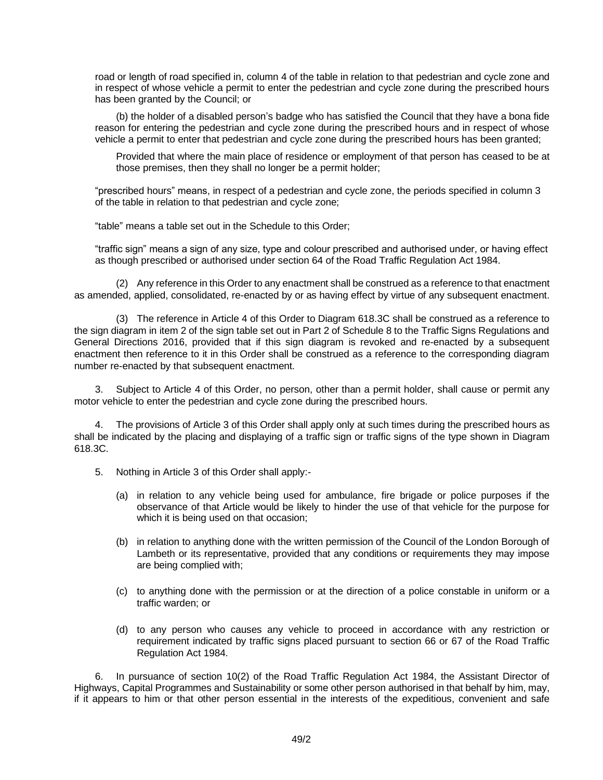road or length of road specified in, column 4 of the table in relation to that pedestrian and cycle zone and in respect of whose vehicle a permit to enter the pedestrian and cycle zone during the prescribed hours has been granted by the Council; or

(b) the holder of a disabled person's badge who has satisfied the Council that they have a bona fide reason for entering the pedestrian and cycle zone during the prescribed hours and in respect of whose vehicle a permit to enter that pedestrian and cycle zone during the prescribed hours has been granted;

Provided that where the main place of residence or employment of that person has ceased to be at those premises, then they shall no longer be a permit holder;

"prescribed hours" means, in respect of a pedestrian and cycle zone, the periods specified in column 3 of the table in relation to that pedestrian and cycle zone;

"table" means a table set out in the Schedule to this Order;

"traffic sign" means a sign of any size, type and colour prescribed and authorised under, or having effect as though prescribed or authorised under section 64 of the Road Traffic Regulation Act 1984.

(2) Any reference in this Order to any enactment shall be construed as a reference to that enactment as amended, applied, consolidated, re-enacted by or as having effect by virtue of any subsequent enactment.

(3) The reference in Article 4 of this Order to Diagram 618.3C shall be construed as a reference to the sign diagram in item 2 of the sign table set out in Part 2 of Schedule 8 to the Traffic Signs Regulations and General Directions 2016, provided that if this sign diagram is revoked and re-enacted by a subsequent enactment then reference to it in this Order shall be construed as a reference to the corresponding diagram number re-enacted by that subsequent enactment.

Subject to Article 4 of this Order, no person, other than a permit holder, shall cause or permit any motor vehicle to enter the pedestrian and cycle zone during the prescribed hours.

4. The provisions of Article 3 of this Order shall apply only at such times during the prescribed hours as shall be indicated by the placing and displaying of a traffic sign or traffic signs of the type shown in Diagram 618.3C.

- 5. Nothing in Article 3 of this Order shall apply:-
	- (a) in relation to any vehicle being used for ambulance, fire brigade or police purposes if the observance of that Article would be likely to hinder the use of that vehicle for the purpose for which it is being used on that occasion;
	- (b) in relation to anything done with the written permission of the Council of the London Borough of Lambeth or its representative, provided that any conditions or requirements they may impose are being complied with;
	- (c) to anything done with the permission or at the direction of a police constable in uniform or a traffic warden; or
	- (d) to any person who causes any vehicle to proceed in accordance with any restriction or requirement indicated by traffic signs placed pursuant to section 66 or 67 of the Road Traffic Regulation Act 1984.

6. In pursuance of section 10(2) of the Road Traffic Regulation Act 1984, the Assistant Director of Highways, Capital Programmes and Sustainability or some other person authorised in that behalf by him, may, if it appears to him or that other person essential in the interests of the expeditious, convenient and safe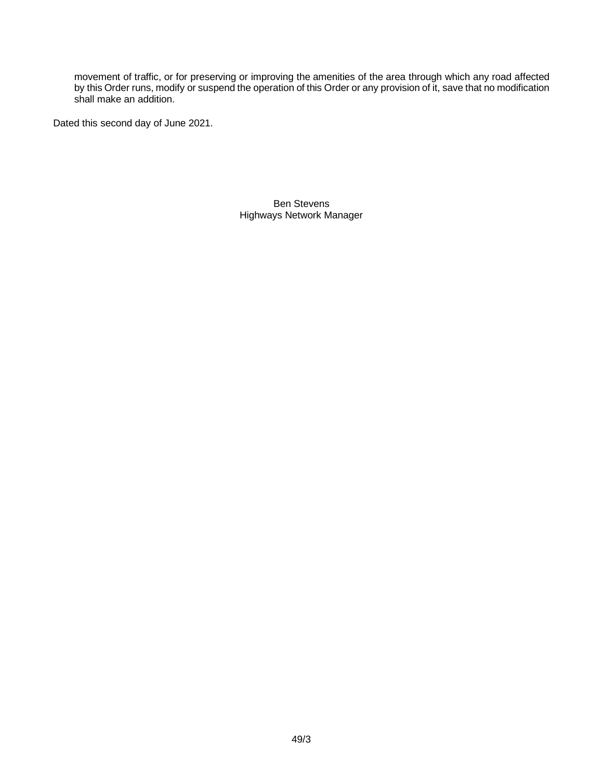movement of traffic, or for preserving or improving the amenities of the area through which any road affected by this Order runs, modify or suspend the operation of this Order or any provision of it, save that no modification shall make an addition.

Dated this second day of June 2021.

Ben Stevens Highways Network Manager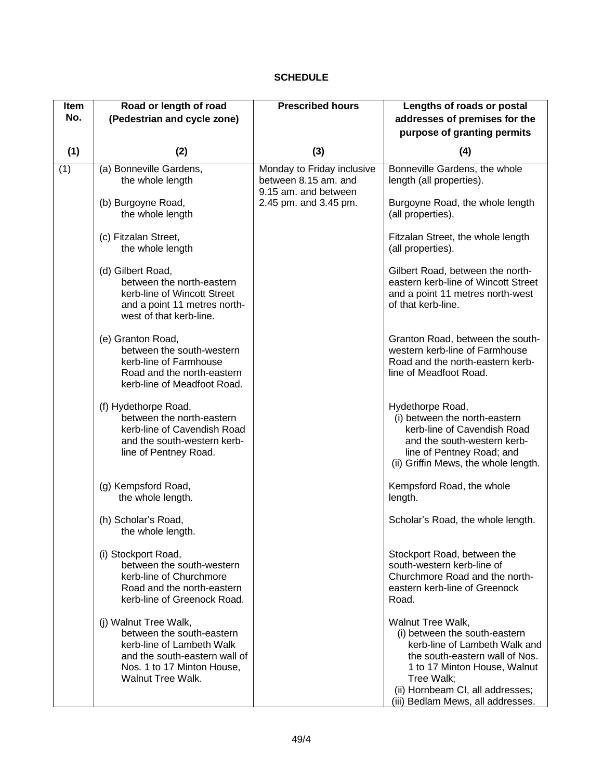#### **SCHEDULE**

| Item | Road or length of road                                                                                                                                              | <b>Prescribed hours</b>                                                    | Lengths of roads or postal                                                                                                                                                                                                                   |
|------|---------------------------------------------------------------------------------------------------------------------------------------------------------------------|----------------------------------------------------------------------------|----------------------------------------------------------------------------------------------------------------------------------------------------------------------------------------------------------------------------------------------|
| No.  | (Pedestrian and cycle zone)                                                                                                                                         |                                                                            | addresses of premises for the                                                                                                                                                                                                                |
|      |                                                                                                                                                                     |                                                                            | purpose of granting permits                                                                                                                                                                                                                  |
| (1)  | (2)                                                                                                                                                                 | (3)                                                                        | (4)                                                                                                                                                                                                                                          |
| (1)  | (a) Bonneville Gardens,<br>the whole length                                                                                                                         | Monday to Friday inclusive<br>between 8.15 am. and<br>9.15 am. and between | Bonneville Gardens, the whole<br>length (all properties).                                                                                                                                                                                    |
|      | (b) Burgoyne Road,<br>the whole length                                                                                                                              | 2.45 pm. and 3.45 pm.                                                      | Burgoyne Road, the whole length<br>(all properties).                                                                                                                                                                                         |
|      | (c) Fitzalan Street,<br>the whole length                                                                                                                            |                                                                            | Fitzalan Street, the whole length<br>(all properties).                                                                                                                                                                                       |
|      | (d) Gilbert Road,<br>between the north-eastern<br>kerb-line of Wincott Street<br>and a point 11 metres north-<br>west of that kerb-line.                            |                                                                            | Gilbert Road, between the north-<br>eastern kerb-line of Wincott Street<br>and a point 11 metres north-west<br>of that kerb-line.                                                                                                            |
|      | (e) Granton Road,<br>between the south-western<br>kerb-line of Farmhouse<br>Road and the north-eastern<br>kerb-line of Meadfoot Road.                               |                                                                            | Granton Road, between the south-<br>western kerb-line of Farmhouse<br>Road and the north-eastern kerb-<br>line of Meadfoot Road.                                                                                                             |
|      | (f) Hydethorpe Road,<br>between the north-eastern<br>kerb-line of Cavendish Road<br>and the south-western kerb-<br>line of Pentney Road.                            |                                                                            | Hydethorpe Road,<br>(i) between the north-eastern<br>kerb-line of Cavendish Road<br>and the south-western kerb-<br>line of Pentney Road; and<br>(ii) Griffin Mews, the whole length.                                                         |
|      | (g) Kempsford Road,<br>the whole length.                                                                                                                            |                                                                            | Kempsford Road, the whole<br>length.                                                                                                                                                                                                         |
|      | (h) Scholar's Road,<br>the whole length.                                                                                                                            |                                                                            | Scholar's Road, the whole length.                                                                                                                                                                                                            |
|      | (i) Stockport Road,<br>between the south-western<br>kerb-line of Churchmore<br>Road and the north-eastern<br>kerb-line of Greenock Road.                            |                                                                            | Stockport Road, between the<br>south-western kerb-line of<br>Churchmore Road and the north-<br>eastern kerb-line of Greenock<br>Road.                                                                                                        |
|      | (j) Walnut Tree Walk,<br>between the south-eastern<br>kerb-line of Lambeth Walk<br>and the south-eastern wall of<br>Nos. 1 to 17 Minton House,<br>Walnut Tree Walk. |                                                                            | Walnut Tree Walk,<br>(i) between the south-eastern<br>kerb-line of Lambeth Walk and<br>the south-eastern wall of Nos.<br>1 to 17 Minton House, Walnut<br>Tree Walk;<br>(ii) Hornbeam CI, all addresses;<br>(iii) Bedlam Mews, all addresses. |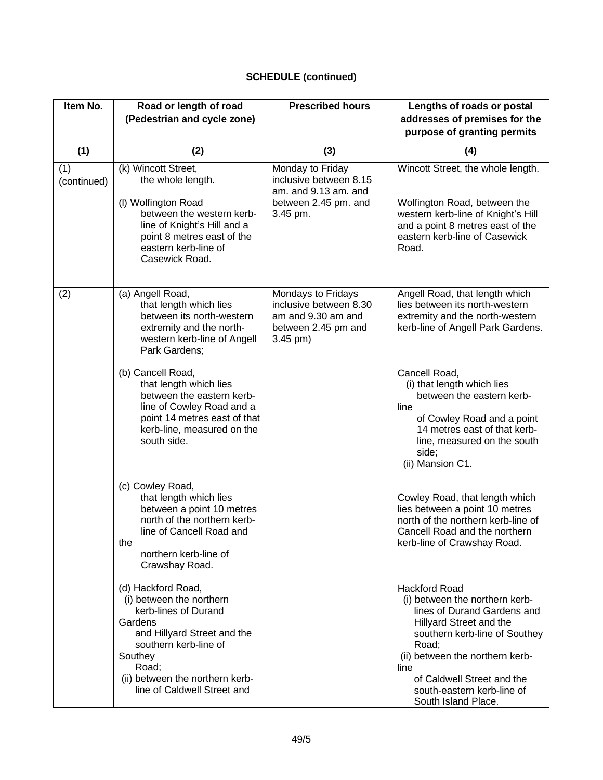# **SCHEDULE (continued)**

| Item No.           | Road or length of road<br>(Pedestrian and cycle zone)                                                                                                                                                                           | <b>Prescribed hours</b>                                                                                 | Lengths of roads or postal<br>addresses of premises for the<br>purpose of granting permits                                                                                                                                                                                               |
|--------------------|---------------------------------------------------------------------------------------------------------------------------------------------------------------------------------------------------------------------------------|---------------------------------------------------------------------------------------------------------|------------------------------------------------------------------------------------------------------------------------------------------------------------------------------------------------------------------------------------------------------------------------------------------|
| (1)                | (2)                                                                                                                                                                                                                             | (3)                                                                                                     | (4)                                                                                                                                                                                                                                                                                      |
| (1)<br>(continued) | (k) Wincott Street,<br>the whole length.<br>(I) Wolfington Road<br>between the western kerb-<br>line of Knight's Hill and a<br>point 8 metres east of the<br>eastern kerb-line of<br>Casewick Road.                             | Monday to Friday<br>inclusive between 8.15<br>am. and 9.13 am. and<br>between 2.45 pm. and<br>3.45 pm.  | Wincott Street, the whole length.<br>Wolfington Road, between the<br>western kerb-line of Knight's Hill<br>and a point 8 metres east of the<br>eastern kerb-line of Casewick<br>Road.                                                                                                    |
| (2)                | (a) Angell Road,<br>that length which lies<br>between its north-western<br>extremity and the north-<br>western kerb-line of Angell<br>Park Gardens;                                                                             | Mondays to Fridays<br>inclusive between 8.30<br>am and 9.30 am and<br>between 2.45 pm and<br>$3.45$ pm) | Angell Road, that length which<br>lies between its north-western<br>extremity and the north-western<br>kerb-line of Angell Park Gardens.                                                                                                                                                 |
|                    | (b) Cancell Road,<br>that length which lies<br>between the eastern kerb-<br>line of Cowley Road and a<br>point 14 metres east of that<br>kerb-line, measured on the<br>south side.                                              |                                                                                                         | Cancell Road,<br>(i) that length which lies<br>between the eastern kerb-<br>line<br>of Cowley Road and a point<br>14 metres east of that kerb-<br>line, measured on the south<br>side;<br>(ii) Mansion C1.                                                                               |
|                    | (c) Cowley Road,<br>that length which lies<br>between a point 10 metres<br>north of the northern kerb-<br>line of Cancell Road and<br>the<br>northern kerb-line of<br>Crawshay Road.                                            |                                                                                                         | Cowley Road, that length which<br>lies between a point 10 metres<br>north of the northern kerb-line of<br>Cancell Road and the northern<br>kerb-line of Crawshay Road.                                                                                                                   |
|                    | (d) Hackford Road,<br>(i) between the northern<br>kerb-lines of Durand<br>Gardens<br>and Hillyard Street and the<br>southern kerb-line of<br>Southey<br>Road;<br>(ii) between the northern kerb-<br>line of Caldwell Street and |                                                                                                         | <b>Hackford Road</b><br>(i) between the northern kerb-<br>lines of Durand Gardens and<br>Hillyard Street and the<br>southern kerb-line of Southey<br>Road;<br>(ii) between the northern kerb-<br>line<br>of Caldwell Street and the<br>south-eastern kerb-line of<br>South Island Place. |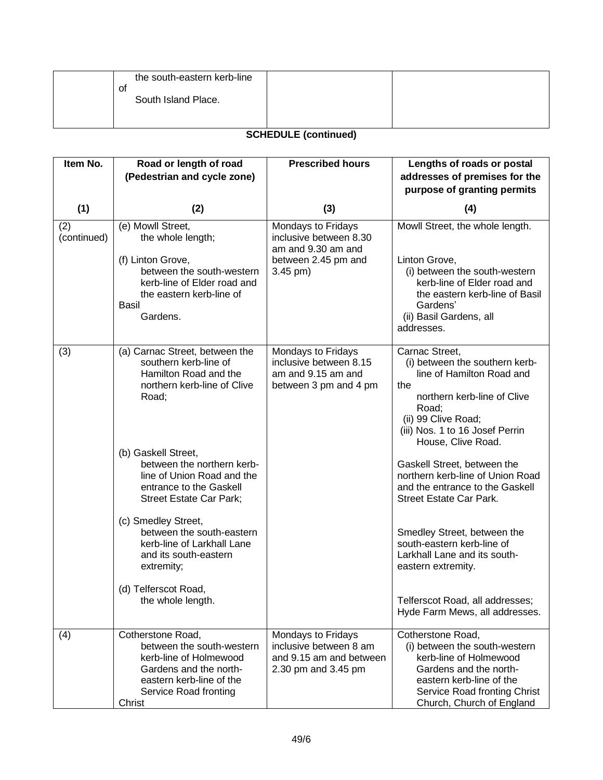| the south-eastern kerb-line |  |
|-----------------------------|--|
| 0t<br>South Island Place.   |  |
|                             |  |

### **SCHEDULE (continued)**

| Item No.           | Road or length of road<br>(Pedestrian and cycle zone)                                                                                                                    | <b>Prescribed hours</b>                                                                                 | Lengths of roads or postal<br>addresses of premises for the                                                                                                                                                  |
|--------------------|--------------------------------------------------------------------------------------------------------------------------------------------------------------------------|---------------------------------------------------------------------------------------------------------|--------------------------------------------------------------------------------------------------------------------------------------------------------------------------------------------------------------|
|                    |                                                                                                                                                                          |                                                                                                         | purpose of granting permits                                                                                                                                                                                  |
| (1)                | (2)                                                                                                                                                                      | (3)                                                                                                     | (4)                                                                                                                                                                                                          |
| (2)<br>(continued) | (e) Mowll Street,<br>the whole length;<br>(f) Linton Grove,<br>between the south-western<br>kerb-line of Elder road and<br>the eastern kerb-line of<br>Basil<br>Gardens. | Mondays to Fridays<br>inclusive between 8.30<br>am and 9.30 am and<br>between 2.45 pm and<br>$3.45$ pm) | Mowll Street, the whole length.<br>Linton Grove,<br>(i) between the south-western<br>kerb-line of Elder road and<br>the eastern kerb-line of Basil<br>Gardens'<br>(ii) Basil Gardens, all<br>addresses.      |
| (3)                | (a) Carnac Street, between the<br>southern kerb-line of<br>Hamilton Road and the<br>northern kerb-line of Clive<br>Road;                                                 | Mondays to Fridays<br>inclusive between 8.15<br>am and 9.15 am and<br>between 3 pm and 4 pm             | Carnac Street,<br>(i) between the southern kerb-<br>line of Hamilton Road and<br>the<br>northern kerb-line of Clive<br>Road;<br>(ii) 99 Clive Road;<br>(iii) Nos. 1 to 16 Josef Perrin<br>House, Clive Road. |
|                    | (b) Gaskell Street,<br>between the northern kerb-<br>line of Union Road and the<br>entrance to the Gaskell<br>Street Estate Car Park;                                    |                                                                                                         | Gaskell Street, between the<br>northern kerb-line of Union Road<br>and the entrance to the Gaskell<br><b>Street Estate Car Park.</b>                                                                         |
|                    | (c) Smedley Street,<br>between the south-eastern<br>kerb-line of Larkhall Lane<br>and its south-eastern<br>extremity;                                                    |                                                                                                         | Smedley Street, between the<br>south-eastern kerb-line of<br>Larkhall Lane and its south-<br>eastern extremity.                                                                                              |
|                    | (d) Telferscot Road,<br>the whole length.                                                                                                                                |                                                                                                         | Telferscot Road, all addresses;<br>Hyde Farm Mews, all addresses.                                                                                                                                            |
| (4)                | Cotherstone Road,<br>between the south-western<br>kerb-line of Holmewood<br>Gardens and the north-<br>eastern kerb-line of the<br>Service Road fronting<br>Christ        | Mondays to Fridays<br>inclusive between 8 am<br>and 9.15 am and between<br>2.30 pm and 3.45 pm          | Cotherstone Road,<br>(i) between the south-western<br>kerb-line of Holmewood<br>Gardens and the north-<br>eastern kerb-line of the<br>Service Road fronting Christ<br>Church, Church of England              |